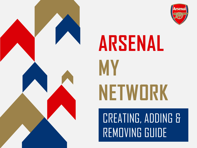

# **ARSENAL MY NETWORK**

### CREATING, ADDING & REMOVING GUIDE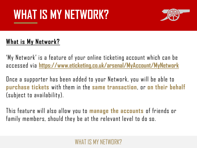### WHAT IS MY NETWORK?



### **What is My Network?**

'My Network' is a feature of your online ticketing account which can be accessed via **<https://www.eticketing.co.uk/arsenal/MyAccount/MyNetwork>**

Once a supporter has been added to your Network, you will be able to **purchase tickets** with them in the **same transaction**, or **on their behalf**  (subject to availability).

This feature will also allow you to **manage the accounts** of friends or family members, should they be at the relevant level to do so.

#### WHAT IS MY NETWIJR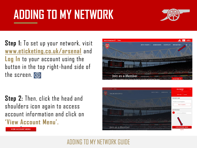

**Step 1:** To set up your network, visit **[www.eticketing.co.uk/arsenal](http://www.eticketing.co.uk/arsenal)** and **Log In** to your account using the button in the top right-hand side of the screen. @

**Step 2:** Then, click the head and shoulders icon again to access account information and click on **'View Account Menu'.**





**VIEW ACCOUNT MENU** 

#### ADDING TO MY NETWORK GUIDE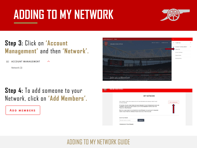

#### **Step 3:** Click on **'Account Management'** and then **'Network'.**

 $\sim$ 

**ACCOUNT MANAGEMENT** 

Network (3)

#### **Step 4:** To add someone to your Network, click on **'Add Members'.**

**ADD MEMBERS** 



| <b>MY NETWORK</b>                                                                                                                                                                      |  |
|----------------------------------------------------------------------------------------------------------------------------------------------------------------------------------------|--|
| ADD FRIENDS, FAMILY AND ASSOCIATES TO YOUR NETWORK AND MANAGE THEIR TICKET<br><b>ADD MEMBERS</b><br>SETTINGS BELOW.                                                                    |  |
| IF YOU WISH TO ADD A NEW FRIEND OR FAMILY MEMBER TO YOUR NETWORK WHO DOES NOT<br>CURRENTLY HAVE AN ACCOUNT, PLEASE CLICK THE 'ADD MEMBERS' BUTTON AND THEN<br>'REGISTER A NEW MEMBER'. |  |
| ONCE YOU HAVE ADDED THE SUPPORTER TO YOUR NETWORK, YOU ARE ABLE TO TRANSFER<br>THEM A TICKET FROM THE 'MANAGE TICKETS' SECTION OF YOUR ACCOUNT.                                        |  |
| Search Your Network                                                                                                                                                                    |  |
| Member name or number<br><b>SEARCH</b>                                                                                                                                                 |  |

#### ADDING TO MY NETWORK GUIDE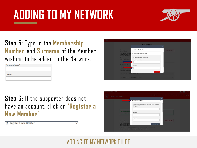

#### **Step 5:** Type in the **Membership Number** and **Surname** of the Member wishing to be added to the Network.





#### **Step 6:** If the supporter does not have an account, click on **'Register a New Member'**.

**2** Register a New Member



#### ADDING TO MY NETWORK GUIDE

 $\checkmark$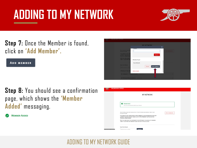

#### **Step 7:** Once the Member is found, click on **'Add Member'.**

**ADD MEMBER** 

**Step 8:** You should see a confirmation page, which shows the **'Member Added'** messaging.

**MEMBER ADDED** 



|                                 | <b>ONLINE BOX OFFICE</b>                                                                                                                                                                                                                                                                                                                  |
|---------------------------------|-------------------------------------------------------------------------------------------------------------------------------------------------------------------------------------------------------------------------------------------------------------------------------------------------------------------------------------------|
|                                 | <b>MY NETWORK</b>                                                                                                                                                                                                                                                                                                                         |
|                                 | <b>MEMBER ADDED</b><br>$\sim$<br>Test (2701447) has been added to your network.                                                                                                                                                                                                                                                           |
|                                 | ADD FRIENDS, FAMILY AND ASSOCIATES TO YOUR NETWORK AND MANAGE THEIR TICKET<br><b>ADD MEMBERS</b><br>SETTINGS RELOW.                                                                                                                                                                                                                       |
|                                 | IF YOU WISH TO ADD A NEW FRIEND OR FAMILY MEMBER TO YOUR NETWORK WHO DOES NOT<br>CURRENTLY HAVE AN ACCOUNT, PLEASE CLICK THE 'ADD MEMBERS' BUTTON AND THEN<br>'REGISTER A NEW MEMBER'.<br>ONCE YOU HAVE ADDED THE SUPPORTER TO YOUR NETWORK, YOU ARE ABLE TO TRANSFER<br>THEM A TICKET FROM THE 'MANAGE TICKETS' SECTION OF YOUR ACCOUNT. |
| c//www.eticketing.co.uk/anenal/ | Search Your Network<br><b>SEARCH</b><br>Member name or number                                                                                                                                                                                                                                                                             |

#### ADDING TO MY NETWORK GUIDE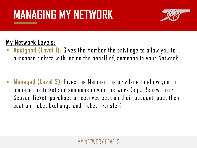

### **My Network Levels:**

Assigned (Level 1): Gives the Member the privilege to allow you to purchase tickets with, or on the behalf of, someone in your Network.

**Managed (Level 2):** Gives the Member the privilege to allow you to manage the tickets or someone in your network (e.g., Renew their Season Ticket, purchase a reserved seat on their account, post their seat on Ticket Exchange and Ticket Transfer)

#### MY NETWIJRK LEVELS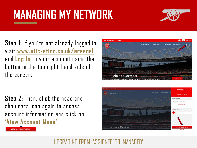

**Step 1:** If you're not already logged in, visit **[www.eticketing.co.uk/arsenal](http://www.eticketing.co.uk/arsenal)** and **Log In** to your account using the button in the top right-hand side of the screen.

**Step 2:** Then, click the head and shoulders icon again to access account information and click on **'View Account Menu'.**

**VIEW ACCOUNT MENU** 



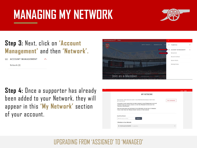

#### **Step 3:** Next, click on **'Account Management'** and then **'Network'.**

**ACCOUNT MANAGEMENT** 

Network (8)

**Step 4:** Once a supporter has already been added to your Network, they will appear in this **'My Network'** section of your account.



| <b>MY NETWORK</b>                                                                                                                                                                                                                                                                                                                                                                                                                                                |  |  |
|------------------------------------------------------------------------------------------------------------------------------------------------------------------------------------------------------------------------------------------------------------------------------------------------------------------------------------------------------------------------------------------------------------------------------------------------------------------|--|--|
| ADD FRIENDS, FAMILY AND ASSOCIATES TO YOUR NETWORK AND MANAGE THEIR TICKET<br><b>ADD MEMBERS</b><br>SETTINGS BELOW.<br>IF YOU WISH TO ADD A NEW FRIEND OR FAMILY MEMBER TO YOUR NETWORK WHO DOES NOT<br>CURRENTLY HAVE AN ACCOUNT, PLEASE CLICK THE 'ADD MEMBERS' BUTTON AND THEN<br>'REGISTER A NEW MEMBER'.<br>ONCE YOU HAVE ADDED THE SUPPORTER TO YOUR NETWORK, YOU ARE ABLE TO TRANSFER<br>THEM A TICKET FROM THE 'MANAGE TICKETS' SECTION OF YOUR ACCOUNT. |  |  |
| Search Your Network<br><b>SEARCH</b><br>Member name or number<br>5 Members in Your Network                                                                                                                                                                                                                                                                                                                                                                       |  |  |
| Test Account (4596199)   O Lovalty Points<br>$\checkmark$                                                                                                                                                                                                                                                                                                                                                                                                        |  |  |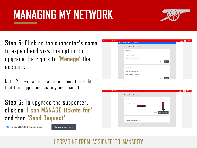

**Step 5:** Click on the supporter's name to expand and view the option to upgrade the rights to **'Manage'** the account.

Note: You will also be able to amend the right that the supporter has to your account.

**Step 6:** To upgrade the supporter, click on **'I can MANAGE tickets for'**  and then **'Send Request'.**

**Lcan MANAGE tickets for** 

**SEND REQUEST** 



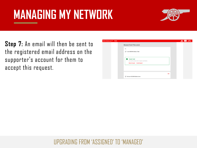

**Step 7:** An email will then be sent to the registered email address on the supporter's account for them to accept this request.

| to Arsenal.com <sup>7</sup> | <b>Tickets</b> |                                                                                                                   | <b>VISIT</b><br>RWANDA |
|-----------------------------|----------------|-------------------------------------------------------------------------------------------------------------------|------------------------|
|                             |                | <b>MANAGE TICKET PRIVILEGES</b>                                                                                   |                        |
|                             |                | Me<br>I can ASSIGN tickets to Test                                                                                |                        |
|                             |                | <b>REQUEST SENT</b><br>$\omega$<br>An email has been sent to request permission.<br>Resend request Cancel request |                        |
|                             |                | Edit                                                                                                              |                        |
|                             |                | Fest can ASSIGN tickets to me                                                                                     |                        |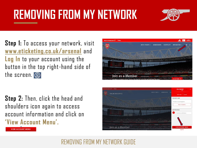## **REMOVING FROM MY NETWORK**



**Step 1:** To access your network, visit **[www.eticketing.co.uk/arsenal](http://www.eticketing.co.uk/arsenal)** and **Log In** to your account using the button in the top right-hand side of the screen. @

**Step 2:** Then, click the head and shoulders icon again to access account information and click on **'View Account Menu'.**





**VIEW ACCOUNT MENU** 

#### REMOVING FROM MY NETWORK GUIDE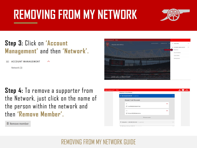### **REMOVING FROM MY NETWORK**



#### **Step 3:** Click on **'Account Management'** and then **'Network'.**

ㅅ

**ACCOUNT MANAGEMENT** 

Network (3)

**Step 4:** To remove a supporter from the Network, just click on the name of the person within the network and then **'Remove Member'.**

**面 Remove member** 



| ack to Arsenal.com | <b>Tickets</b>            |                                                      |      |              |
|--------------------|---------------------------|------------------------------------------------------|------|--------------|
|                    | 5 Members in Your Network |                                                      |      |              |
|                    |                           | Test Account (4596199)   0 Loyalty Points            |      | $\sim$       |
|                    |                           | <b>MANAGE TICKET PRIVILEGES</b>                      |      |              |
|                    |                           | Me<br>← I can MANAGE tickets for Test                | Edit |              |
|                    |                           | Test<br>Test can ASSIGN tickets to me                | Edit |              |
|                    |                           | 直 Remove member                                      |      |              |
|                    |                           | L Companion 1 - 4481586 (4551544)   O Loyalty Points |      | $\checkmark$ |
|                    |                           | Mr Thomas McCann (1508151)   Structure Delayer       |      |              |

#### REMOVING FROM MY NETWORK GUIDE